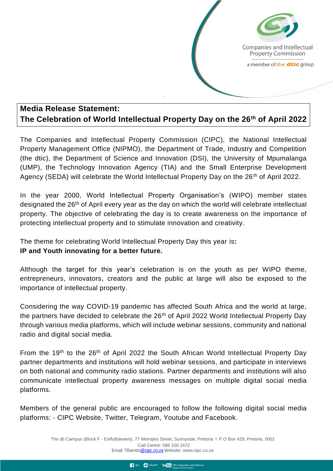Companies and Intellectual **Property Commission** a member of the dtic group

## **Media Release Statement: The Celebration of World Intellectual Property Day on the 26th of April 2022**

The Companies and Intellectual Property Commission (CIPC), the National Intellectual Property Management Office (NIPMO), the Department of Trade, Industry and Competition (the dtic), the Department of Science and Innovation (DSI), the University of Mpumalanga (UMP), the Technology Innovation Agency (TIA) and the Small Enterprise Development Agency (SEDA) will celebrate the World Intellectual Property Day on the 26<sup>th</sup> of April 2022.

In the year 2000, World Intellectual Property Organisation's (WIPO) member states designated the 26<sup>th</sup> of April every year as the day on which the world will celebrate intellectual property. The objective of celebrating the day is to create awareness on the importance of protecting intellectual property and to stimulate innovation and creativity.

The theme for celebrating World Intellectual Property Day this year is**:**

## **IP and Youth innovating for a better future.**

Although the target for this year's celebration is on the youth as per WIPO theme, entrepreneurs, innovators, creators and the public at large will also be exposed to the importance of intellectual property.

Considering the way COVID-19 pandemic has affected South Africa and the world at large, the partners have decided to celebrate the 26<sup>th</sup> of April 2022 World Intellectual Property Day through various media platforms, which will include webinar sessions, community and national radio and digital social media.

From the 19<sup>th</sup> to the 26<sup>th</sup> of April 2022 the South African World Intellectual Property Day partner departments and institutions will hold webinar sessions, and participate in interviews on both national and community radio stations. Partner departments and institutions will also communicate intellectual property awareness messages on multiple digital social media platforms.

Members of the general public are encouraged to follow the following digital social media platforms: - CIPC Website, Twitter, Telegram, Youtube and Facebook.